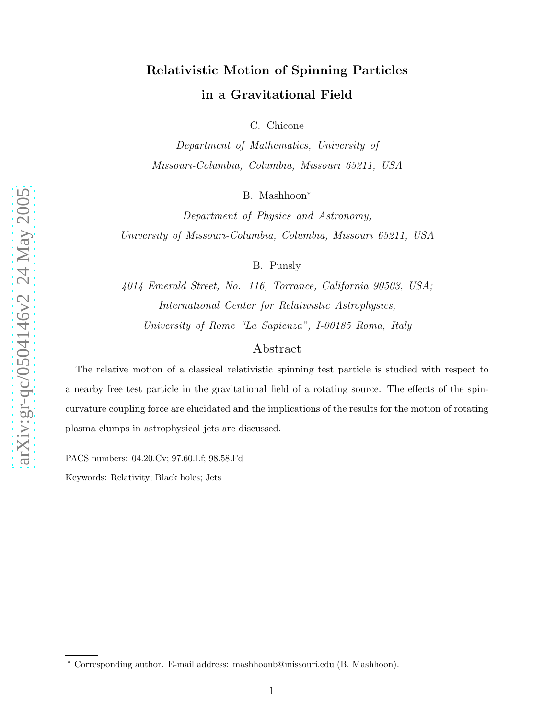# Relativistic Motion of Spinning Particles in a Gravitational Field

C. Chicone

Department of Mathematics, University of Missouri-Columbia, Columbia, Missouri 65211, USA

B. Mashhoon ∗

Department of Physics and Astronomy, University of Missouri-Columbia, Columbia, Missouri 65211, USA

B. Punsly

4014 Emerald Street, No. 116, Torrance, California 90503, USA; International Center for Relativistic Astrophysics, University of Rome "La Sapienza", I-00185 Roma, Italy

# Abstract

The relative motion of a classical relativistic spinning test particle is studied with respect to a nearby free test particle in the gravitational field of a rotating source. The effects of the spincurvature coupling force are elucidated and the implications of the results for the motion of rotating plasma clumps in astrophysical jets are discussed.

PACS numbers: 04.20.Cv; 97.60.Lf; 98.58.Fd

Keywords: Relativity; Black holes; Jets

<sup>∗</sup> Corresponding author. E-mail address: mashhoonb@missouri.edu (B. Mashhoon).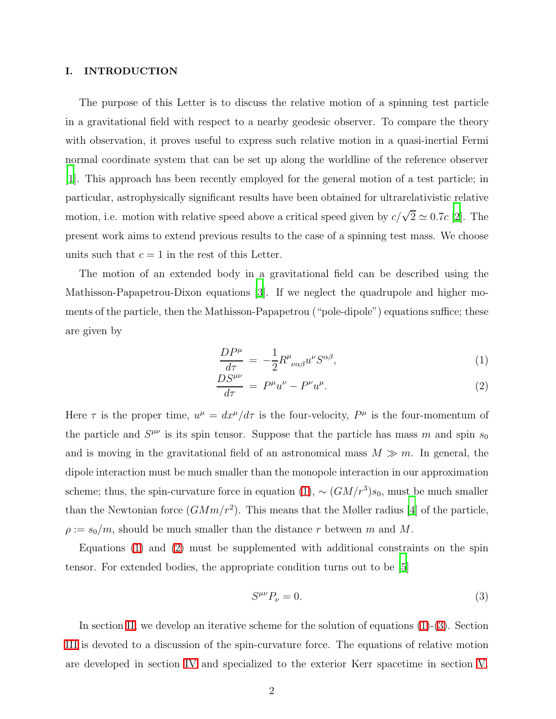#### I. INTRODUCTION

The purpose of this Letter is to discuss the relative motion of a spinning test particle in a gravitational field with respect to a nearby geodesic observer. To compare the theory with observation, it proves useful to express such relative motion in a quasi-inertial Fermi normal coordinate system that can be set up along the worldline of the reference observer [\[1](#page-11-0)]. This approach has been recently employed for the general motion of a test particle; in particular, astrophysically significant results have been obtained for ultrarelativistic relative motion, i.e. motion with relative speed above a critical speed given by  $c/\sqrt{2} \simeq 0.7c$  [\[2\]](#page-11-1). The present work aims to extend previous results to the case of a spinning test mass. We choose units such that  $c = 1$  in the rest of this Letter.

The motion of an extended body in a gravitational field can be described using the Mathisson-Papapetrou-Dixon equations [\[3\]](#page-11-2). If we neglect the quadrupole and higher moments of the particle, then the Mathisson-Papapetrou ("pole-dipole") equations suffice; these are given by

<span id="page-1-0"></span>
$$
\frac{DP^{\mu}}{d\tau} = -\frac{1}{2}R^{\mu}{}_{\nu\alpha\beta}u^{\nu}S^{\alpha\beta},\tag{1}
$$

$$
\frac{DS^{\mu\nu}}{d\tau} = P^{\mu}u^{\nu} - P^{\nu}u^{\mu}.
$$
\n(2)

Here  $\tau$  is the proper time,  $u^{\mu} = dx^{\mu}/d\tau$  is the four-velocity,  $P^{\mu}$  is the four-momentum of the particle and  $S^{\mu\nu}$  is its spin tensor. Suppose that the particle has mass m and spin  $s_0$ and is moving in the gravitational field of an astronomical mass  $M \gg m$ . In general, the dipole interaction must be much smaller than the monopole interaction in our approximation scheme; thus, the spin-curvature force in equation  $(1)$ ,  $\sim$   $(GM/r^3)s_0$ , must be much smaller than the Newtonian force  $(GMm/r^2)$ . This means that the Møller radius [\[4](#page-11-3)] of the particle,  $\rho := s_0/m$ , should be much smaller than the distance r between m and M.

Equations [\(1\)](#page-1-0) and [\(2\)](#page-1-0) must be supplemented with additional constraints on the spin tensor. For extended bodies, the appropriate condition turns out to be [\[5\]](#page-11-4)

<span id="page-1-1"></span>
$$
S^{\mu\nu}P_{\nu}=0.\t\t(3)
$$

In section [II,](#page-2-0) we develop an iterative scheme for the solution of equations  $(1)-(3)$  $(1)-(3)$ . Section [III](#page-3-0) is devoted to a discussion of the spin-curvature force. The equations of relative motion are developed in section [IV](#page-5-0) and specialized to the exterior Kerr spacetime in section [V.](#page-7-0)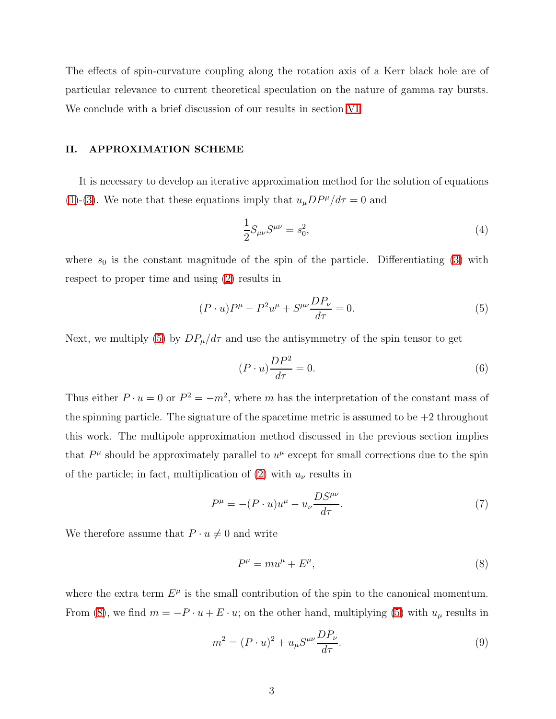The effects of spin-curvature coupling along the rotation axis of a Kerr black hole are of particular relevance to current theoretical speculation on the nature of gamma ray bursts. We conclude with a brief discussion of our results in section [VI.](#page-10-0)

# <span id="page-2-0"></span>II. APPROXIMATION SCHEME

It is necessary to develop an iterative approximation method for the solution of equations [\(1\)](#page-1-0)-[\(3\)](#page-1-1). We note that these equations imply that  $u_{\mu}DP^{\mu}/d\tau = 0$  and

$$
\frac{1}{2}S_{\mu\nu}S^{\mu\nu} = s_0^2,\tag{4}
$$

where  $s_0$  is the constant magnitude of the spin of the particle. Differentiating [\(3\)](#page-1-1) with respect to proper time and using [\(2\)](#page-1-0) results in

<span id="page-2-1"></span>
$$
(P \cdot u)P^{\mu} - P^{2}u^{\mu} + S^{\mu\nu}\frac{DP_{\nu}}{d\tau} = 0.
$$
 (5)

Next, we multiply [\(5\)](#page-2-1) by  $DP_{\mu}/d\tau$  and use the antisymmetry of the spin tensor to get

$$
(P \cdot u) \frac{DP^2}{d\tau} = 0. \tag{6}
$$

Thus either  $P \cdot u = 0$  or  $P^2 = -m^2$ , where m has the interpretation of the constant mass of the spinning particle. The signature of the spacetime metric is assumed to be  $+2$  throughout this work. The multipole approximation method discussed in the previous section implies that  $P^{\mu}$  should be approximately parallel to  $u^{\mu}$  except for small corrections due to the spin of the particle; in fact, multiplication of [\(2\)](#page-1-0) with  $u_{\nu}$  results in

<span id="page-2-2"></span>
$$
P^{\mu} = -(P \cdot u)u^{\mu} - u_{\nu} \frac{DS^{\mu \nu}}{d\tau}.
$$
\n<sup>(7)</sup>

We therefore assume that  $P \cdot u \neq 0$  and write

$$
P^{\mu} = m u^{\mu} + E^{\mu},\tag{8}
$$

where the extra term  $E^{\mu}$  is the small contribution of the spin to the canonical momentum. From [\(8\)](#page-2-2), we find  $m = -P \cdot u + E \cdot u$ ; on the other hand, multiplying [\(5\)](#page-2-1) with  $u_{\mu}$  results in

<span id="page-2-3"></span>
$$
m2 = (P \cdot u)2 + uμSμν\frac{DPν}{d\tau}.
$$
\n(9)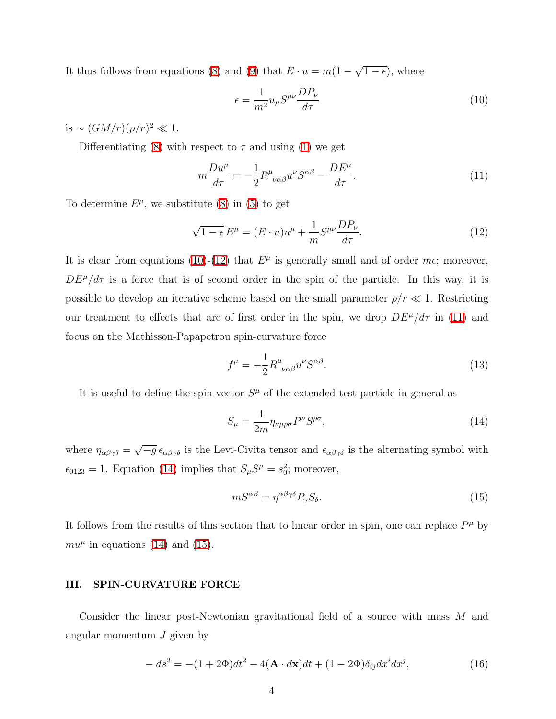It thus follows from equations [\(8\)](#page-2-2) and [\(9\)](#page-2-3) that  $E \cdot u = m(1 - \sqrt{1 - \epsilon})$ , where

<span id="page-3-1"></span>
$$
\epsilon = \frac{1}{m^2} u_{\mu} S^{\mu \nu} \frac{DP_{\nu}}{d\tau}
$$
\n(10)

is  $\sim (GM/r)(\rho/r)^2 \ll 1$ .

<span id="page-3-3"></span>Differentiating [\(8\)](#page-2-2) with respect to  $\tau$  and using [\(1\)](#page-1-0) we get

$$
m\frac{Du^{\mu}}{d\tau} = -\frac{1}{2}R^{\mu}_{\nu\alpha\beta}u^{\nu}S^{\alpha\beta} - \frac{DE^{\mu}}{d\tau}.
$$
\n(11)

<span id="page-3-2"></span>To determine  $E^{\mu}$ , we substitute [\(8\)](#page-2-2) in [\(5\)](#page-2-1) to get

$$
\sqrt{1 - \epsilon} E^{\mu} = (E \cdot u)u^{\mu} + \frac{1}{m} S^{\mu \nu} \frac{DP_{\nu}}{d\tau}.
$$
\n(12)

It is clear from equations [\(10\)](#page-3-1)-[\(12\)](#page-3-2) that  $E^{\mu}$  is generally small and of order  $m\epsilon$ ; moreover,  $DE^{\mu}/d\tau$  is a force that is of second order in the spin of the particle. In this way, it is possible to develop an iterative scheme based on the small parameter  $\rho/r \ll 1$ . Restricting our treatment to effects that are of first order in the spin, we drop  $DE^{\mu}/d\tau$  in [\(11\)](#page-3-3) and focus on the Mathisson-Papapetrou spin-curvature force

<span id="page-3-7"></span>
$$
f^{\mu} = -\frac{1}{2} R^{\mu}{}_{\nu\alpha\beta} u^{\nu} S^{\alpha\beta}.
$$
 (13)

It is useful to define the spin vector  $S^{\mu}$  of the extended test particle in general as

<span id="page-3-4"></span>
$$
S_{\mu} = \frac{1}{2m} \eta_{\nu\mu\rho\sigma} P^{\nu} S^{\rho\sigma},\tag{14}
$$

where  $\eta_{\alpha\beta\gamma\delta} = \sqrt{-g} \epsilon_{\alpha\beta\gamma\delta}$  is the Levi-Civita tensor and  $\epsilon_{\alpha\beta\gamma\delta}$  is the alternating symbol with  $\epsilon_{0123} = 1$ . Equation [\(14\)](#page-3-4) implies that  $S_{\mu}S^{\mu} = s_0^2$ ; moreover,

<span id="page-3-5"></span>
$$
mS^{\alpha\beta} = \eta^{\alpha\beta\gamma\delta} P_{\gamma} S_{\delta}.\tag{15}
$$

It follows from the results of this section that to linear order in spin, one can replace  $P^{\mu}$  by  $mu^{\mu}$  in equations [\(14\)](#page-3-4) and [\(15\)](#page-3-5).

# <span id="page-3-0"></span>III. SPIN-CURVATURE FORCE

<span id="page-3-6"></span>Consider the linear post-Newtonian gravitational field of a source with mass M and angular momentum  $J$  given by

$$
-ds2 = -(1+2\Phi)dt2 - 4(\mathbf{A} \cdot d\mathbf{x})dt + (1-2\Phi)\delta_{ij}dx^{i}dx^{j},
$$
\n(16)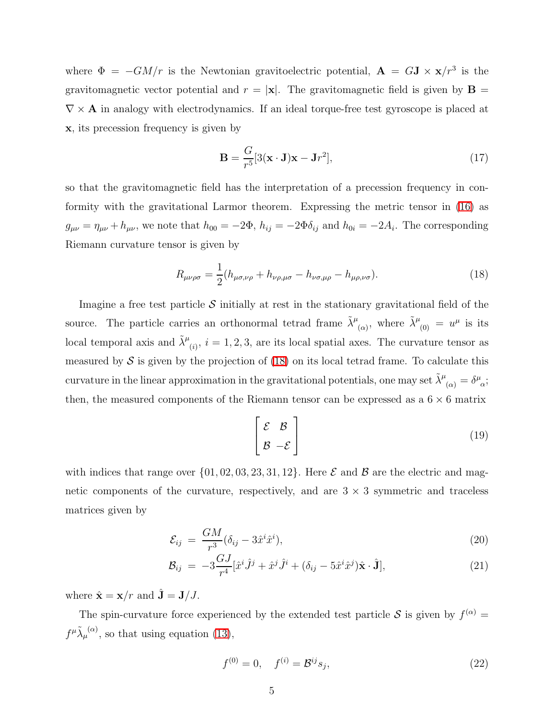where  $\Phi = -GM/r$  is the Newtonian gravitoelectric potential,  $\mathbf{A} = G\mathbf{J} \times \mathbf{x}/r^3$  is the gravitomagnetic vector potential and  $r = |\mathbf{x}|$ . The gravitomagnetic field is given by  $\mathbf{B} =$  $\nabla \times \mathbf{A}$  in analogy with electrodynamics. If an ideal torque-free test gyroscope is placed at x, its precession frequency is given by

$$
\mathbf{B} = \frac{G}{r^5} [3(\mathbf{x} \cdot \mathbf{J})\mathbf{x} - \mathbf{J}r^2],\tag{17}
$$

so that the gravitomagnetic field has the interpretation of a precession frequency in conformity with the gravitational Larmor theorem. Expressing the metric tensor in [\(16\)](#page-3-6) as  $g_{\mu\nu} = \eta_{\mu\nu} + h_{\mu\nu}$ , we note that  $h_{00} = -2\Phi$ ,  $h_{ij} = -2\Phi\delta_{ij}$  and  $h_{0i} = -2A_i$ . The corresponding Riemann curvature tensor is given by

<span id="page-4-0"></span>
$$
R_{\mu\nu\rho\sigma} = \frac{1}{2} (h_{\mu\sigma,\nu\rho} + h_{\nu\rho,\mu\sigma} - h_{\nu\sigma,\mu\rho} - h_{\mu\rho,\nu\sigma}).
$$
\n(18)

Imagine a free test particle  $\mathcal S$  initially at rest in the stationary gravitational field of the source. The particle carries an orthonormal tetrad frame  $\tilde{\lambda}^{\mu}_{(\alpha)}$ , where  $\tilde{\lambda}^{\mu}_{(0)} = u^{\mu}$  is its local temporal axis and  $\tilde{\lambda}^{\mu}_{(i)}$ ,  $i = 1, 2, 3$ , are its local spatial axes. The curvature tensor as measured by  $S$  is given by the projection of [\(18\)](#page-4-0) on its local tetrad frame. To calculate this curvature in the linear approximation in the gravitational potentials, one may set  $\tilde{\lambda}^{\mu}_{(\alpha)} = \delta^{\mu}_{\alpha}$ ; then, the measured components of the Riemann tensor can be expressed as a  $6 \times 6$  matrix

$$
\begin{bmatrix} \mathcal{E} & \mathcal{B} \\ \mathcal{B} & -\mathcal{E} \end{bmatrix}
$$
 (19)

with indices that range over  $\{01, 02, 03, 23, 31, 12\}$ . Here  $\mathcal E$  and  $\mathcal B$  are the electric and magnetic components of the curvature, respectively, and are  $3 \times 3$  symmetric and traceless matrices given by

$$
\mathcal{E}_{ij} = \frac{GM}{r^3} (\delta_{ij} - 3\hat{x}^i \hat{x}^i), \tag{20}
$$

$$
\mathcal{B}_{ij} = -3\frac{GJ}{r^4}[\hat{x}^i\hat{J}^j + \hat{x}^j\hat{J}^i + (\delta_{ij} - 5\hat{x}^i\hat{x}^j)\hat{x}\cdot\hat{\mathbf{J}}],\tag{21}
$$

where  $\hat{\mathbf{x}} = \mathbf{x}/r$  and  $\hat{\mathbf{J}} = \mathbf{J}/J$ .

The spin-curvature force experienced by the extended test particle  $S$  is given by  $f^{(\alpha)} =$  $f^{\mu} \tilde{\lambda}_{\mu}^{(\alpha)}$ , so that using equation [\(13\)](#page-3-7),

<span id="page-4-1"></span>
$$
f^{(0)} = 0, \quad f^{(i)} = \mathcal{B}^{ij} s_j,
$$
\n(22)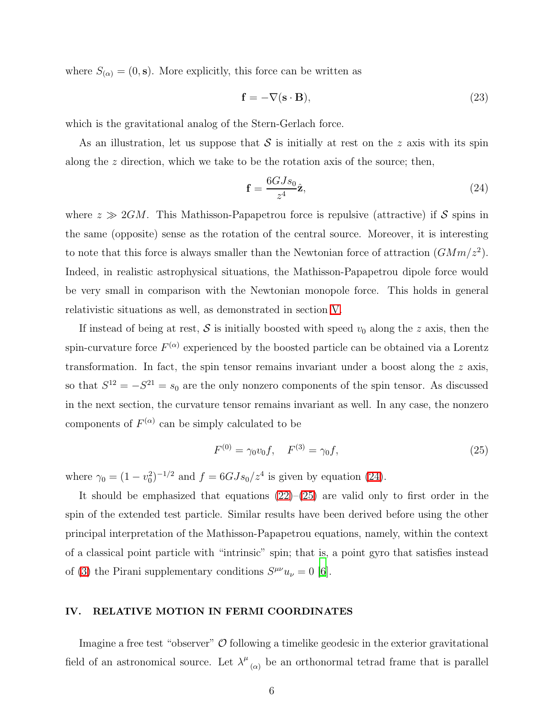where  $S_{(\alpha)} = (0, \mathbf{s})$ . More explicitly, this force can be written as

$$
\mathbf{f} = -\nabla(\mathbf{s} \cdot \mathbf{B}),\tag{23}
$$

which is the gravitational analog of the Stern-Gerlach force.

As an illustration, let us suppose that  $S$  is initially at rest on the z axis with its spin along the z direction, which we take to be the rotation axis of the source; then,

<span id="page-5-1"></span>
$$
\mathbf{f} = \frac{6GJs_0}{z^4}\hat{\mathbf{z}},\tag{24}
$$

where  $z \gg 2GM$ . This Mathisson-Papapetrou force is repulsive (attractive) if S spins in the same (opposite) sense as the rotation of the central source. Moreover, it is interesting to note that this force is always smaller than the Newtonian force of attraction  $(GMm/z^2)$ . Indeed, in realistic astrophysical situations, the Mathisson-Papapetrou dipole force would be very small in comparison with the Newtonian monopole force. This holds in general relativistic situations as well, as demonstrated in section [V.](#page-7-0)

If instead of being at rest,  $S$  is initially boosted with speed  $v_0$  along the z axis, then the spin-curvature force  $F^{(\alpha)}$  experienced by the boosted particle can be obtained via a Lorentz transformation. In fact, the spin tensor remains invariant under a boost along the z axis, so that  $S^{12} = -S^{21} = s_0$  are the only nonzero components of the spin tensor. As discussed in the next section, the curvature tensor remains invariant as well. In any case, the nonzero components of  $F^{(\alpha)}$  can be simply calculated to be

<span id="page-5-2"></span>
$$
F^{(0)} = \gamma_0 v_0 f, \quad F^{(3)} = \gamma_0 f,\tag{25}
$$

where  $\gamma_0 = (1 - v_0^2)^{-1/2}$  and  $f = 6GJs_0/z^4$  is given by equation [\(24\)](#page-5-1).

It should be emphasized that equations  $(22)$ – $(25)$  are valid only to first order in the spin of the extended test particle. Similar results have been derived before using the other principal interpretation of the Mathisson-Papapetrou equations, namely, within the context of a classical point particle with "intrinsic" spin; that is, a point gyro that satisfies instead of [\(3\)](#page-1-1) the Pirani supplementary conditions  $S^{\mu\nu}u_{\nu} = 0$  [\[6](#page-11-5)].

# <span id="page-5-0"></span>IV. RELATIVE MOTION IN FERMI COORDINATES

Imagine a free test "observer"  $\mathcal O$  following a timelike geodesic in the exterior gravitational field of an astronomical source. Let  $\lambda^{\mu}$  $\alpha$  be an orthonormal tetrad frame that is parallel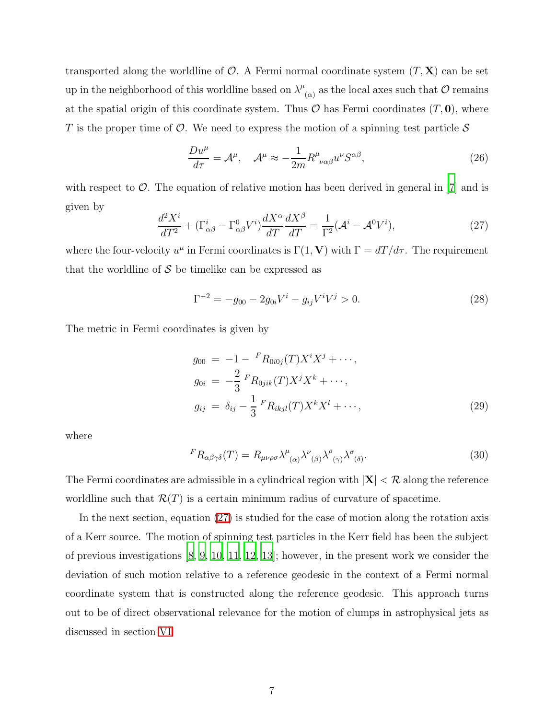transported along the worldline of  $\mathcal{O}$ . A Fermi normal coordinate system  $(T, \mathbf{X})$  can be set up in the neighborhood of this worldline based on  $\lambda^{\mu}$  $\mathcal{O}_{(\alpha)}$  as the local axes such that  $\mathcal O$  remains at the spatial origin of this coordinate system. Thus  $\mathcal O$  has Fermi coordinates  $(T, 0)$ , where T is the proper time of  $\mathcal O$ . We need to express the motion of a spinning test particle  $\mathcal S$ 

<span id="page-6-2"></span>
$$
\frac{Du^{\mu}}{d\tau} = \mathcal{A}^{\mu}, \quad \mathcal{A}^{\mu} \approx -\frac{1}{2m} R^{\mu}_{\nu\alpha\beta} u^{\nu} S^{\alpha\beta},\tag{26}
$$

<span id="page-6-0"></span>with respect to  $\mathcal{O}$ . The equation of relative motion has been derived in general in [\[7\]](#page-11-6) and is given by

$$
\frac{d^2X^i}{dT^2} + (\Gamma^i_{\alpha\beta} - \Gamma^0_{\alpha\beta}V^i)\frac{dX^{\alpha}}{dT}\frac{dX^{\beta}}{dT} = \frac{1}{\Gamma^2}(\mathcal{A}^i - \mathcal{A}^0V^i),\tag{27}
$$

where the four-velocity  $u^{\mu}$  in Fermi coordinates is  $\Gamma(1, V)$  with  $\Gamma = dT/d\tau$ . The requirement that the worldline of  $S$  be timelike can be expressed as

$$
\Gamma^{-2} = -g_{00} - 2g_{0i}V^i - g_{ij}V^iV^j > 0.
$$
\n(28)

<span id="page-6-3"></span>The metric in Fermi coordinates is given by

$$
g_{00} = -1 - {}^{F}R_{0i0j}(T)X^{i}X^{j} + \cdots,
$$
  
\n
$$
g_{0i} = -\frac{2}{3} {}^{F}R_{0jik}(T)X^{j}X^{k} + \cdots,
$$
  
\n
$$
g_{ij} = \delta_{ij} - \frac{1}{3} {}^{F}R_{ikjl}(T)X^{k}X^{l} + \cdots,
$$
\n(29)

<span id="page-6-1"></span>where

$$
{}^{F}R_{\alpha\beta\gamma\delta}(T) = R_{\mu\nu\rho\sigma} \lambda^{\mu}{}_{(\alpha)} \lambda^{\nu}{}_{(\beta)} \lambda^{\rho}{}_{(\gamma)} \lambda^{\sigma}{}_{(\delta)}.
$$
\n(30)

The Fermi coordinates are admissible in a cylindrical region with  $|\mathbf{X}| < \mathcal{R}$  along the reference worldline such that  $\mathcal{R}(T)$  is a certain minimum radius of curvature of spacetime.

In the next section, equation [\(27\)](#page-6-0) is studied for the case of motion along the rotation axis of a Kerr source. The motion of spinning test particles in the Kerr field has been the subject of previous investigations [\[8](#page-11-7), [9,](#page-11-8) [10,](#page-11-9) [11](#page-11-10), [12,](#page-11-11) [13](#page-11-12)]; however, in the present work we consider the deviation of such motion relative to a reference geodesic in the context of a Fermi normal coordinate system that is constructed along the reference geodesic. This approach turns out to be of direct observational relevance for the motion of clumps in astrophysical jets as discussed in section [VI.](#page-10-0)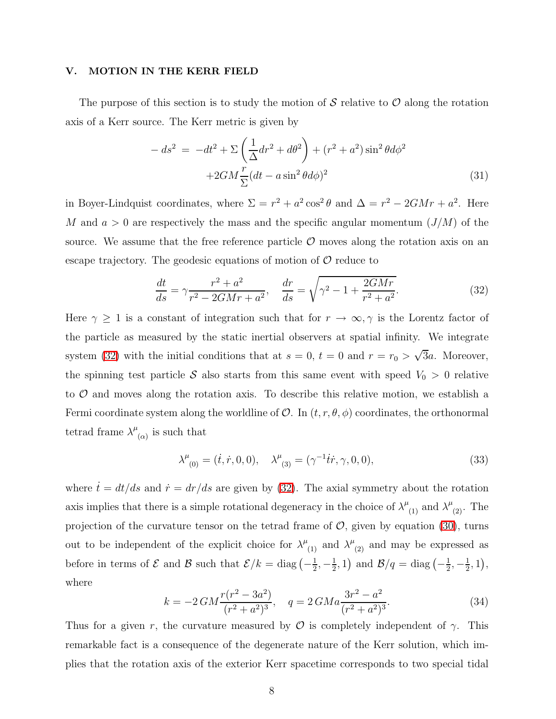# <span id="page-7-0"></span>V. MOTION IN THE KERR FIELD

The purpose of this section is to study the motion of S relative to  $\mathcal O$  along the rotation axis of a Kerr source. The Kerr metric is given by

$$
-ds^{2} = -dt^{2} + \Sigma \left(\frac{1}{\Delta}dr^{2} + d\theta^{2}\right) + (r^{2} + a^{2})\sin^{2}\theta d\phi^{2}
$$

$$
+2GM\frac{r}{\Sigma}(dt - a\sin^{2}\theta d\phi)^{2}
$$
(31)

in Boyer-Lindquist coordinates, where  $\Sigma = r^2 + a^2 \cos^2 \theta$  and  $\Delta = r^2 - 2GMr + a^2$ . Here M and  $a > 0$  are respectively the mass and the specific angular momentum  $(J/M)$  of the source. We assume that the free reference particle  $\mathcal O$  moves along the rotation axis on an escape trajectory. The geodesic equations of motion of  $\mathcal O$  reduce to

$$
\frac{dt}{ds} = \gamma \frac{r^2 + a^2}{r^2 - 2GMr + a^2}, \quad \frac{dr}{ds} = \sqrt{\gamma^2 - 1 + \frac{2GMr}{r^2 + a^2}}.
$$
\n(32)

<span id="page-7-1"></span>Here  $\gamma \geq 1$  is a constant of integration such that for  $r \to \infty, \gamma$  is the Lorentz factor of the particle as measured by the static inertial observers at spatial infinity. We integrate system [\(32\)](#page-7-1) with the initial conditions that at  $s = 0$ ,  $t = 0$  and  $r = r_0 > \sqrt{3}a$ . Moreover, the spinning test particle  $S$  also starts from this same event with speed  $V_0 > 0$  relative to  $\mathcal O$  and moves along the rotation axis. To describe this relative motion, we establish a Fermi coordinate system along the worldline of  $\mathcal{O}$ . In  $(t, r, \theta, \phi)$  coordinates, the orthonormal tetrad frame  $\lambda^{\mu}$  $\alpha$  is such that

$$
\lambda^{\mu}_{(0)} = (\dot{t}, \dot{r}, 0, 0), \quad \lambda^{\mu}_{(3)} = (\gamma^{-1} \dot{t} \dot{r}, \gamma, 0, 0), \tag{33}
$$

where  $\dot{t} = dt/ds$  and  $\dot{r} = dr/ds$  are given by [\(32\)](#page-7-1). The axial symmetry about the rotation axis implies that there is a simple rotational degeneracy in the choice of  $\lambda^{\mu}_{(1)}$  and  $\lambda^{\mu}_{(2)}$ . The projection of the curvature tensor on the tetrad frame of  $\mathcal{O}$ , given by equation [\(30\)](#page-6-1), turns out to be independent of the explicit choice for  $\lambda^{\mu}_{(1)}$  and  $\lambda^{\mu}_{(2)}$  and may be expressed as before in terms of  $\mathcal E$  and  $\mathcal B$  such that  $\mathcal E/k = \text{diag}\left(-\frac{1}{2}\right)$  $\frac{1}{2}, -\frac{1}{2}$  $(\frac{1}{2}, 1)$  and  $\mathcal{B}/q = \text{diag}(-\frac{1}{2})$  $\frac{1}{2}, -\frac{1}{2}$  $(\frac{1}{2}, 1),$ where

$$
k = -2GM \frac{r(r^2 - 3a^2)}{(r^2 + a^2)^3}, \quad q = 2GM a \frac{3r^2 - a^2}{(r^2 + a^2)^3}.
$$
 (34)

<span id="page-7-2"></span>Thus for a given r, the curvature measured by  $\mathcal O$  is completely independent of  $\gamma$ . This remarkable fact is a consequence of the degenerate nature of the Kerr solution, which implies that the rotation axis of the exterior Kerr spacetime corresponds to two special tidal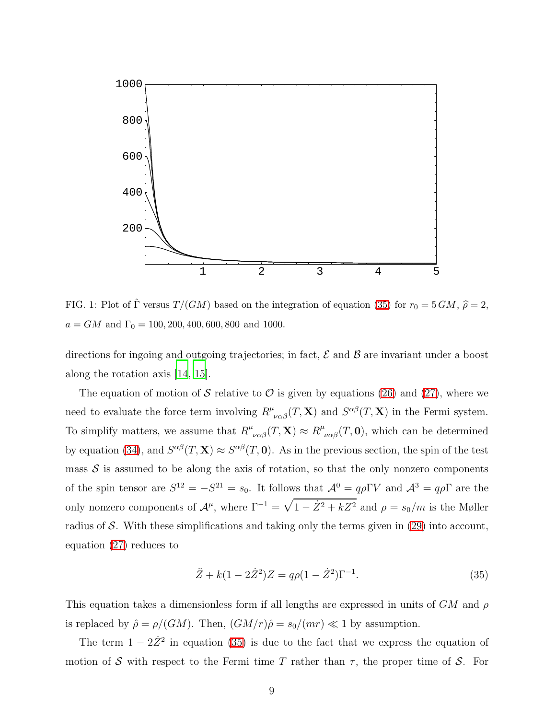

<span id="page-8-1"></span>FIG. 1: Plot of  $\hat{\Gamma}$  versus  $T/(GM)$  based on the integration of equation [\(35\)](#page-8-0) for  $r_0 = 5 GM$ ,  $\hat{\rho} = 2$ ,  $a = GM$  and  $\Gamma_0 = 100, 200, 400, 600, 800$  and 1000.

directions for ingoing and outgoing trajectories; in fact,  $\mathcal E$  and  $\mathcal B$  are invariant under a boost along the rotation axis [\[14](#page-11-13), [15\]](#page-11-14).

The equation of motion of S relative to  $\mathcal O$  is given by equations [\(26\)](#page-6-2) and [\(27\)](#page-6-0), where we need to evaluate the force term involving  $R^{\mu}{}_{\nu\alpha\beta}(T,\mathbf{X})$  and  $S^{\alpha\beta}(T,\mathbf{X})$  in the Fermi system. To simplify matters, we assume that  $R^{\mu}_{\ \nu\alpha\beta}(T,\mathbf{X}) \approx R^{\mu}_{\ \nu\alpha\beta}(T,\mathbf{0})$ , which can be determined by equation [\(34\)](#page-7-2), and  $S^{\alpha\beta}(T, \mathbf{X}) \approx S^{\alpha\beta}(T, 0)$ . As in the previous section, the spin of the test mass  $\mathcal S$  is assumed to be along the axis of rotation, so that the only nonzero components of the spin tensor are  $S^{12} = -S^{21} = s_0$ . It follows that  $\mathcal{A}^0 = q\rho \Gamma V$  and  $\mathcal{A}^3 = q\rho \Gamma$  are the only nonzero components of  $\mathcal{A}^{\mu}$ , where  $\Gamma^{-1} = \sqrt{1 - \dot{Z}^2 + kZ^2}$  and  $\rho = s_0/m$  is the Møller radius of S. With these simplifications and taking only the terms given in [\(29\)](#page-6-3) into account, equation [\(27\)](#page-6-0) reduces to

<span id="page-8-0"></span>
$$
\ddot{Z} + k(1 - 2\dot{Z}^2)Z = q\rho(1 - \dot{Z}^2)\Gamma^{-1}.
$$
\n(35)

This equation takes a dimensionless form if all lengths are expressed in units of  $GM$  and  $\rho$ is replaced by  $\hat{\rho} = \rho/(GM)$ . Then,  $(GM/r)\hat{\rho} = s_0/(mr) \ll 1$  by assumption.

The term  $1 - 2\dot{Z}^2$  in equation [\(35\)](#page-8-0) is due to the fact that we express the equation of motion of S with respect to the Fermi time T rather than  $\tau$ , the proper time of S. For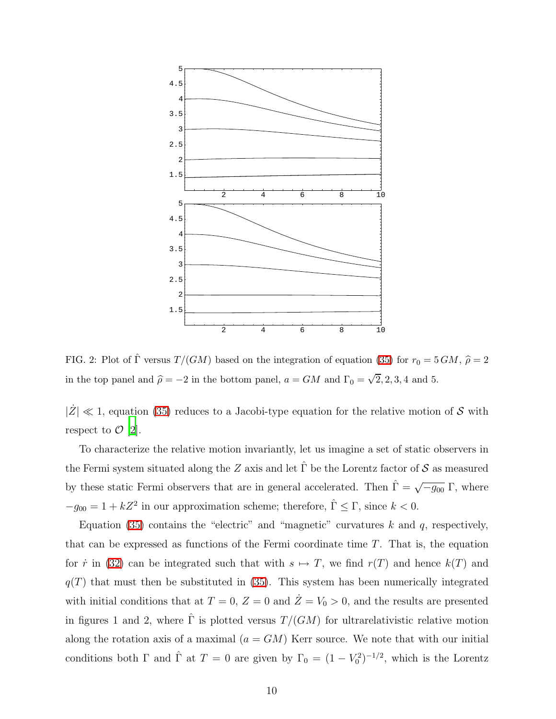

<span id="page-9-0"></span>FIG. 2: Plot of  $\hat{\Gamma}$  versus  $T/(GM)$  based on the integration of equation [\(35\)](#page-8-0) for  $r_0 = 5\,GM$ ,  $\hat{\rho} = 2$ in the top panel and  $\hat{\rho} = -2$  in the bottom panel,  $a = GM$  and  $\Gamma_0 = \sqrt{2}, 2, 3, 4$  and 5.

 $|\dot{Z}| \ll 1$ , equation [\(35\)](#page-8-0) reduces to a Jacobi-type equation for the relative motion of S with respect to  $\mathcal{O}$  [\[2](#page-11-1)].

To characterize the relative motion invariantly, let us imagine a set of static observers in the Fermi system situated along the Z axis and let  $\hat{\Gamma}$  be the Lorentz factor of S as measured by these static Fermi observers that are in general accelerated. Then  $\hat{\Gamma} = \sqrt{-g_{00}} \Gamma$ , where  $-g_{00} = 1 + kZ^2$  in our approximation scheme; therefore,  $\hat{\Gamma} \leq \Gamma$ , since  $k < 0$ .

Equation [\(35\)](#page-8-0) contains the "electric" and "magnetic" curvatures  $k$  and  $q$ , respectively, that can be expressed as functions of the Fermi coordinate time  $T$ . That is, the equation for  $\dot{r}$  in [\(32\)](#page-7-1) can be integrated such that with  $s \mapsto T$ , we find  $r(T)$  and hence  $k(T)$  and  $q(T)$  that must then be substituted in [\(35\)](#page-8-0). This system has been numerically integrated with initial conditions that at  $T = 0$ ,  $Z = 0$  and  $\dot{Z} = V_0 > 0$ , and the results are presented in figures 1 and 2, where  $\hat{\Gamma}$  is plotted versus  $T/(GM)$  for ultrarelativistic relative motion along the rotation axis of a maximal  $(a = GM)$  Kerr source. We note that with our initial conditions both  $\Gamma$  and  $\hat{\Gamma}$  at  $T = 0$  are given by  $\Gamma_0 = (1 - V_0^2)^{-1/2}$ , which is the Lorentz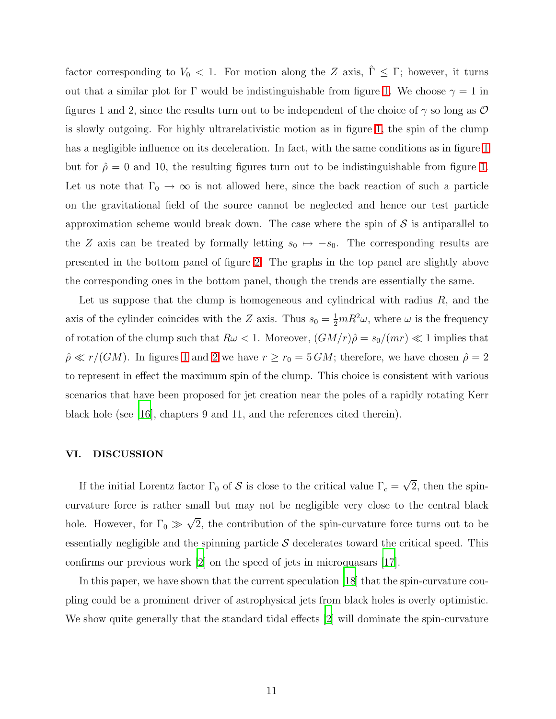factor corresponding to  $V_0$  < 1. For motion along the Z axis,  $\hat{\Gamma} \leq \Gamma$ ; however, it turns out that a similar plot for Γ would be indistinguishable from figure [1.](#page-8-1) We choose  $\gamma = 1$  in figures 1 and 2, since the results turn out to be independent of the choice of  $\gamma$  so long as  $\mathcal O$ is slowly outgoing. For highly ultrarelativistic motion as in figure [1,](#page-8-1) the spin of the clump has a negligible influence on its deceleration. In fact, with the same conditions as in figure [1](#page-8-1) but for  $\hat{\rho} = 0$  and 10, the resulting figures turn out to be indistinguishable from figure [1.](#page-8-1) Let us note that  $\Gamma_0 \to \infty$  is not allowed here, since the back reaction of such a particle on the gravitational field of the source cannot be neglected and hence our test particle approximation scheme would break down. The case where the spin of  $\mathcal S$  is antiparallel to the Z axis can be treated by formally letting  $s_0 \mapsto -s_0$ . The corresponding results are presented in the bottom panel of figure [2.](#page-9-0) The graphs in the top panel are slightly above the corresponding ones in the bottom panel, though the trends are essentially the same.

Let us suppose that the clump is homogeneous and cylindrical with radius  $R$ , and the axis of the cylinder coincides with the Z axis. Thus  $s_0 = \frac{1}{2}mR^2\omega$ , where  $\omega$  is the frequency of rotation of the clump such that  $R\omega < 1$ . Moreover,  $(GM/r)\hat{\rho} = s_0/(mr) \ll 1$  implies that  $\rho \ll r/(GM)$ . In figures [1](#page-8-1) and [2](#page-9-0) we have  $r \ge r_0 = 5 \, GM$ ; therefore, we have chosen  $\rho = 2$ to represent in effect the maximum spin of the clump. This choice is consistent with various scenarios that have been proposed for jet creation near the poles of a rapidly rotating Kerr black hole (see [\[16\]](#page-11-15), chapters 9 and 11, and the references cited therein).

# <span id="page-10-0"></span>VI. DISCUSSION

If the initial Lorentz factor  $\Gamma_0$  of S is close to the critical value  $\Gamma_c = \sqrt{2}$ , then the spincurvature force is rather small but may not be negligible very close to the central black hole. However, for  $\Gamma_0 \gg \sqrt{2}$ , the contribution of the spin-curvature force turns out to be essentially negligible and the spinning particle  $S$  decelerates toward the critical speed. This confirms our previous work [\[2](#page-11-1)] on the speed of jets in microquasars [\[17\]](#page-11-16).

In this paper, we have shown that the current speculation [\[18\]](#page-11-17) that the spin-curvature coupling could be a prominent driver of astrophysical jets from black holes is overly optimistic. We show quite generally that the standard tidal effects [\[2](#page-11-1)] will dominate the spin-curvature